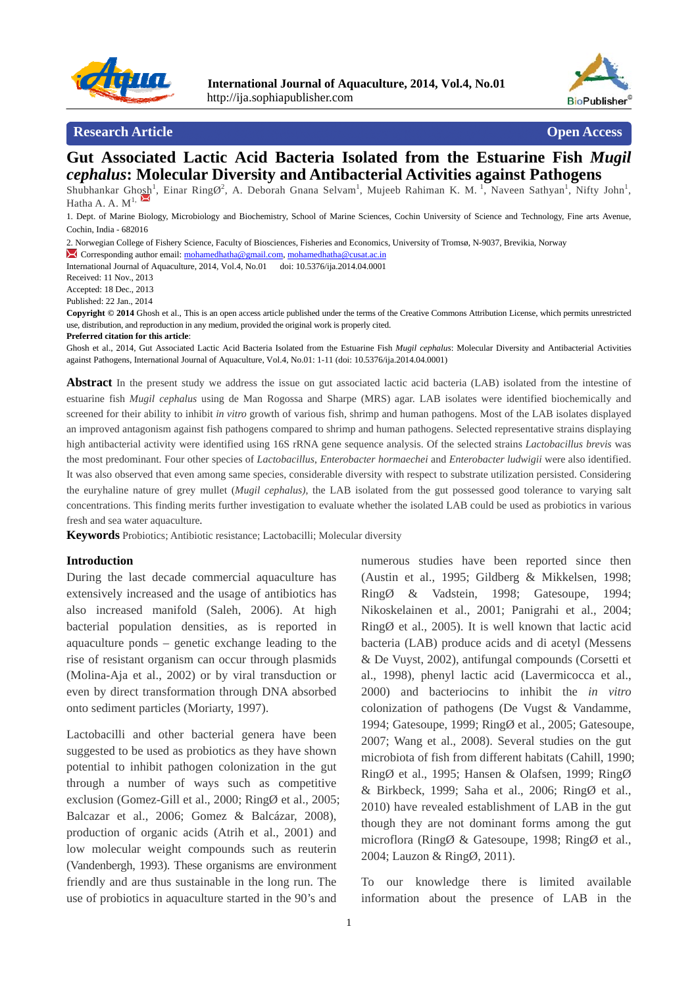



### **Research Article Open Access Open Access Open Access**

## **Gut Associated Lactic Acid Bacteria Isolated from the Estuarine Fish** *Mugil cephalus***: Molecular Diversity and Antibacterial Activities against Pathogens**

Shubhankar Ghosh<sup>1</sup>, Einar RingØ<sup>2</sup>, A. Deborah Gnana Selvam<sup>1</sup>, Mujeeb Rahiman K. M.<sup>1</sup>, Naveen Sathyan<sup>1</sup>, Nifty John<sup>1</sup>, Hatha A. A.  $M^{1}$ ,

1. Dept. of Marine Biology, Microbiology and Biochemistry, School of Marine Sciences, Cochin University of Science and Technology, Fine arts Avenue, Cochin, India - 682016

2. Norwegian College of Fishery Science, Faculty of Biosciences, Fisheries and Economics, University of Tromsø, N-9037, Brevikia, Norway

Corresponding author email: mohamedhatha@gmail.com, mohamedhatha@cusat.ac.in

International Journal of Aquaculture, 2014, Vol.4, No.01 doi: 10.5376/ija.2014.04.0001

Received: 11 Nov., 2013

Accepted: 18 Dec., 2013

Published: 22 Jan., 2014

**Copyright © 2014** Ghosh et al., This is an open access article published under the terms of the Creative Commons Attribution License, which permits unrestricted use, distribution, and reproduction in any medium, provided the original work is properly cited.

**Preferred citation for this article**:

Ghosh et al., 2014, Gut Associated Lactic Acid Bacteria Isolated from the Estuarine Fish *Mugil cephalus*: Molecular Diversity and Antibacterial Activities against Pathogens, International Journal of Aquaculture, Vol.4, No.01: 1-11 (doi: 10.5376/ija.2014.04.0001)

**Abstract** In the present study we address the issue on gut associated lactic acid bacteria (LAB) isolated from the intestine of estuarine fish *Mugil cephalus* using de Man Rogossa and Sharpe (MRS) agar. LAB isolates were identified biochemically and screened for their ability to inhibit *in vitro* growth of various fish, shrimp and human pathogens. Most of the LAB isolates displayed an improved antagonism against fish pathogens compared to shrimp and human pathogens. Selected representative strains displaying high antibacterial activity were identified using 16S rRNA gene sequence analysis. Of the selected strains *Lactobacillus brevis* was the most predominant. Four other species of *Lactobacillus*, *Enterobacter hormaechei* and *Enterobacter ludwigii* were also identified. It was also observed that even among same species, considerable diversity with respect to substrate utilization persisted. Considering the euryhaline nature of grey mullet (*Mugil cephalus)*, the LAB isolated from the gut possessed good tolerance to varying salt concentrations. This finding merits further investigation to evaluate whether the isolated LAB could be used as probiotics in various fresh and sea water aquaculture*.*

**Keywords** Probiotics; Antibiotic resistance; Lactobacilli; Molecular diversity

#### **Introduction**

During the last decade commercial aquaculture has extensively increased and the usage of antibiotics has also increased manifold (Saleh, 2006). At high bacterial population densities, as is reported in aquaculture ponds – genetic exchange leading to the rise of resistant organism can occur through plasmids (Molina-Aja et al., 2002) or by viral transduction or even by direct transformation through DNA absorbed onto sediment particles (Moriarty, 1997).

Lactobacilli and other bacterial genera have been suggested to be used as probiotics as they have shown potential to inhibit pathogen colonization in the gut through a number of ways such as competitive exclusion (Gomez-Gill et al., 2000; RingØ et al., 2005; Balcazar et al., 2006; Gomez & Balcázar, 2008), production of organic acids (Atrih et al., 2001) and low molecular weight compounds such as reuterin (Vandenbergh, 1993). These organisms are environment friendly and are thus sustainable in the long run. The use of probiotics in aquaculture started in the 90's and

numerous studies have been reported since then (Austin et al., 1995; Gildberg & Mikkelsen, 1998; RingØ & Vadstein, 1998; Gatesoupe, 1994; Nikoskelainen et al., 2001; Panigrahi et al., 2004;  $RingØ$  et al., 2005). It is well known that lactic acid bacteria (LAB) produce acids and di acetyl (Messens & De Vuyst, 2002), antifungal compounds (Corsetti et al., 1998), phenyl lactic acid (Lavermicocca et al., 2000) and bacteriocins to inhibit the *in vitro* colonization of pathogens (De Vugst & Vandamme, 1994; Gatesoupe, 1999; RingØ et al., 2005; Gatesoupe, 2007; Wang et al., 2008). Several studies on the gut microbiota of fish from different habitats (Cahill, 1990; RingØ et al., 1995; Hansen & Olafsen, 1999; RingØ & Birkbeck, 1999; Saha et al., 2006; RingØ et al., 2010) have revealed establishment of LAB in the gut though they are not dominant forms among the gut microflora (RingØ & Gatesoupe, 1998; RingØ et al., 2004; Lauzon & RingØ, 2011).

To our knowledge there is limited available information about the presence of LAB in the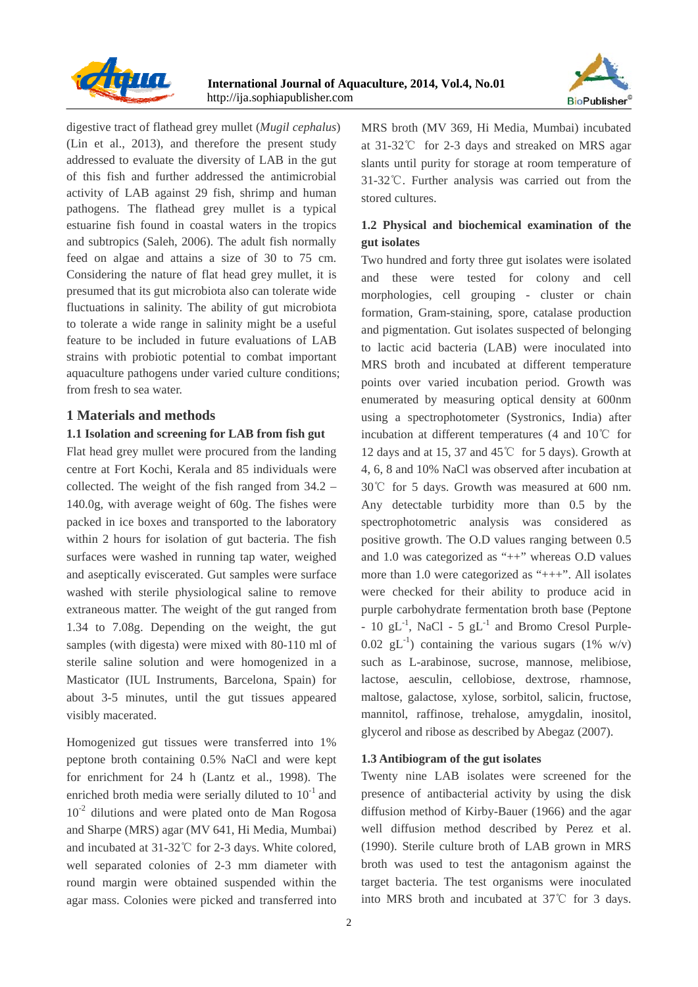



digestive tract of flathead grey mullet (*Mugil cephalus*) (Lin et al., 2013), and therefore the present study addressed to evaluate the diversity of LAB in the gut of this fish and further addressed the antimicrobial activity of LAB against 29 fish, shrimp and human pathogens. The flathead grey mullet is a typical estuarine fish found in coastal waters in the tropics and subtropics (Saleh, 2006). The adult fish normally feed on algae and attains a size of 30 to 75 cm. Considering the nature of flat head grey mullet, it is presumed that its gut microbiota also can tolerate wide fluctuations in salinity. The ability of gut microbiota to tolerate a wide range in salinity might be a useful feature to be included in future evaluations of LAB strains with probiotic potential to combat important aquaculture pathogens under varied culture conditions; from fresh to sea water.

## **1 Materials and methods**

#### **1.1 Isolation and screening for LAB from fish gut**

Flat head grey mullet were procured from the landing centre at Fort Kochi, Kerala and 85 individuals were collected. The weight of the fish ranged from 34.2 – 140.0g, with average weight of 60g. The fishes were packed in ice boxes and transported to the laboratory within 2 hours for isolation of gut bacteria. The fish surfaces were washed in running tap water, weighed and aseptically eviscerated. Gut samples were surface washed with sterile physiological saline to remove extraneous matter. The weight of the gut ranged from 1.34 to 7.08g. Depending on the weight, the gut samples (with digesta) were mixed with 80-110 ml of sterile saline solution and were homogenized in a Masticator (IUL Instruments, Barcelona, Spain) for about 3-5 minutes, until the gut tissues appeared visibly macerated.

Homogenized gut tissues were transferred into 1% peptone broth containing 0.5% NaCl and were kept for enrichment for 24 h (Lantz et al., 1998). The enriched broth media were serially diluted to  $10^{-1}$  and  $10^{-2}$  dilutions and were plated onto de Man Rogosa and Sharpe (MRS) agar (MV 641, Hi Media, Mumbai) and incubated at 31-32℃ for 2-3 days. White colored, well separated colonies of 2-3 mm diameter with round margin were obtained suspended within the agar mass. Colonies were picked and transferred into MRS broth (MV 369, Hi Media, Mumbai) incubated at 31-32℃ for 2-3 days and streaked on MRS agar slants until purity for storage at room temperature of 31-32℃. Further analysis was carried out from the stored cultures.

## **1.2 Physical and biochemical examination of the gut isolates**

Two hundred and forty three gut isolates were isolated and these were tested for colony and cell morphologies, cell grouping - cluster or chain formation, Gram-staining, spore, catalase production and pigmentation. Gut isolates suspected of belonging to lactic acid bacteria (LAB) were inoculated into MRS broth and incubated at different temperature points over varied incubation period. Growth was enumerated by measuring optical density at 600nm using a spectrophotometer (Systronics, India) after incubation at different temperatures (4 and 10℃ for 12 days and at 15, 37 and 45℃ for 5 days). Growth at 4, 6, 8 and 10% NaCl was observed after incubation at 30℃ for 5 days. Growth was measured at 600 nm. Any detectable turbidity more than 0.5 by the spectrophotometric analysis was considered as positive growth. The O.D values ranging between 0.5 and 1.0 was categorized as "++" whereas O.D values more than 1.0 were categorized as "+++". All isolates were checked for their ability to produce acid in purple carbohydrate fermentation broth base (Peptone -  $10 \text{ gL}^{-1}$ , NaCl -  $5 \text{ gL}^{-1}$  and Bromo Cresol Purple-0.02 gL<sup>-1</sup>) containing the various sugars (1% w/v) such as L-arabinose, sucrose, mannose, melibiose, lactose, aesculin, cellobiose, dextrose, rhamnose, maltose, galactose, xylose, sorbitol, salicin, fructose, mannitol, raffinose, trehalose, amygdalin, inositol, glycerol and ribose as described by Abegaz (2007).

#### **1.3 Antibiogram of the gut isolates**

Twenty nine LAB isolates were screened for the presence of antibacterial activity by using the disk diffusion method of Kirby-Bauer (1966) and the agar well diffusion method described by Perez et al. (1990). Sterile culture broth of LAB grown in MRS broth was used to test the antagonism against the target bacteria. The test organisms were inoculated into MRS broth and incubated at 37℃ for 3 days.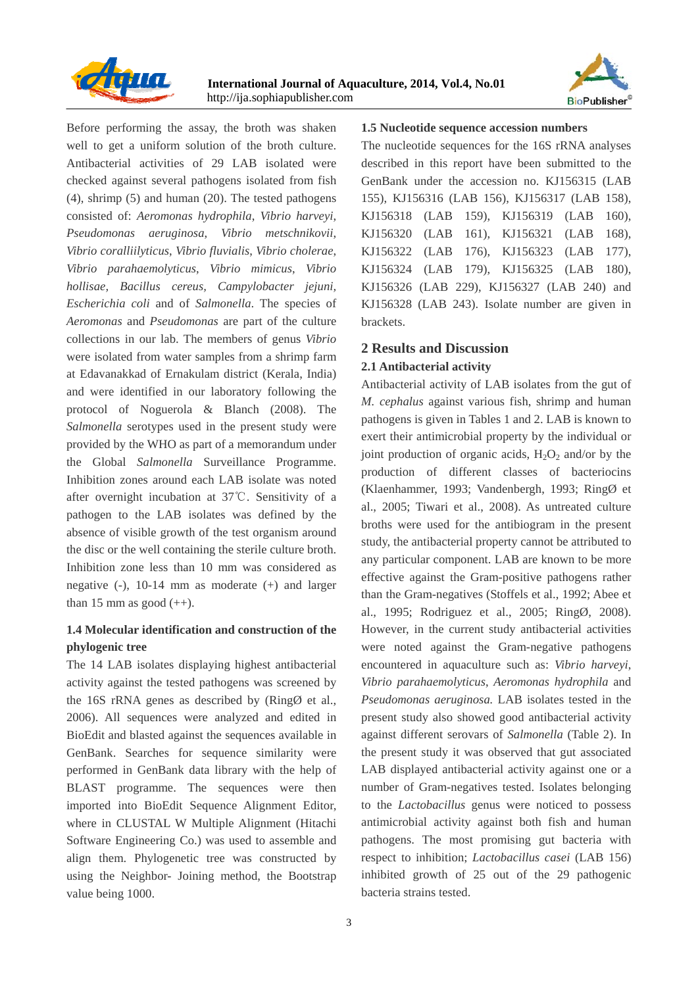



Before performing the assay, the broth was shaken well to get a uniform solution of the broth culture. Antibacterial activities of 29 LAB isolated were checked against several pathogens isolated from fish (4), shrimp (5) and human (20). The tested pathogens consisted of: *Aeromonas hydrophila*, *Vibrio harveyi*, *Pseudomonas aeruginosa*, *Vibrio metschnikovii*, *Vibrio coralliilyticus*, *Vibrio fluvialis*, *Vibrio cholerae*, *Vibrio parahaemolyticus*, *Vibrio mimicus*, *Vibrio hollisae, Bacillus cereus, Campylobacter jejuni, Escherichia coli* and of *Salmonella*. The species of *Aeromonas* and *Pseudomonas* are part of the culture collections in our lab. The members of genus *Vibrio* were isolated from water samples from a shrimp farm at Edavanakkad of Ernakulam district (Kerala, India) and were identified in our laboratory following the protocol of Noguerola & Blanch (2008). The *Salmonella* serotypes used in the present study were provided by the WHO as part of a memorandum under the Global *Salmonella* Surveillance Programme. Inhibition zones around each LAB isolate was noted after overnight incubation at 37℃. Sensitivity of a pathogen to the LAB isolates was defined by the absence of visible growth of the test organism around the disc or the well containing the sterile culture broth. Inhibition zone less than 10 mm was considered as negative (-), 10-14 mm as moderate (+) and larger than 15 mm as good  $(++)$ .

## **1.4 Molecular identification and construction of the phylogenic tree**

The 14 LAB isolates displaying highest antibacterial activity against the tested pathogens was screened by the 16S rRNA genes as described by (RingØ et al., 2006). All sequences were analyzed and edited in BioEdit and blasted against the sequences available in GenBank. Searches for sequence similarity were performed in GenBank data library with the help of BLAST programme. The sequences were then imported into BioEdit Sequence Alignment Editor, where in CLUSTAL W Multiple Alignment (Hitachi Software Engineering Co.) was used to assemble and align them. Phylogenetic tree was constructed by using the Neighbor- Joining method, the Bootstrap value being 1000.

#### **1.5 Nucleotide sequence accession numbers**

The nucleotide sequences for the 16S rRNA analyses described in this report have been submitted to the GenBank under the accession no. KJ156315 (LAB 155), KJ156316 (LAB 156), KJ156317 (LAB 158), KJ156318 (LAB 159), KJ156319 (LAB 160), KJ156320 (LAB 161), KJ156321 (LAB 168), KJ156322 (LAB 176), KJ156323 (LAB 177), KJ156324 (LAB 179), KJ156325 (LAB 180), KJ156326 (LAB 229), KJ156327 (LAB 240) and KJ156328 (LAB 243). Isolate number are given in brackets.

### **2 Results and Discussion**

### **2.1 Antibacterial activity**

Antibacterial activity of LAB isolates from the gut of *M. cephalus* against various fish, shrimp and human pathogens is given in Tables 1 and 2. LAB is known to exert their antimicrobial property by the individual or joint production of organic acids,  $H_2O_2$  and/or by the production of different classes of bacteriocins (Klaenhammer, 1993; Vandenbergh, 1993; RingØ et al., 2005; Tiwari et al., 2008). As untreated culture broths were used for the antibiogram in the present study, the antibacterial property cannot be attributed to any particular component. LAB are known to be more effective against the Gram-positive pathogens rather than the Gram-negatives (Stoffels et al., 1992; Abee et al., 1995; Rodriguez et al., 2005; RingØ, 2008). However, in the current study antibacterial activities were noted against the Gram-negative pathogens encountered in aquaculture such as: *Vibrio harveyi*, *Vibrio parahaemolyticus*, *Aeromonas hydrophila* and *Pseudomonas aeruginosa.* LAB isolates tested in the present study also showed good antibacterial activity against different serovars of *Salmonella* (Table 2). In the present study it was observed that gut associated LAB displayed antibacterial activity against one or a number of Gram-negatives tested. Isolates belonging to the *Lactobacillus* genus were noticed to possess antimicrobial activity against both fish and human pathogens. The most promising gut bacteria with respect to inhibition; *Lactobacillus casei* (LAB 156) inhibited growth of 25 out of the 29 pathogenic bacteria strains tested.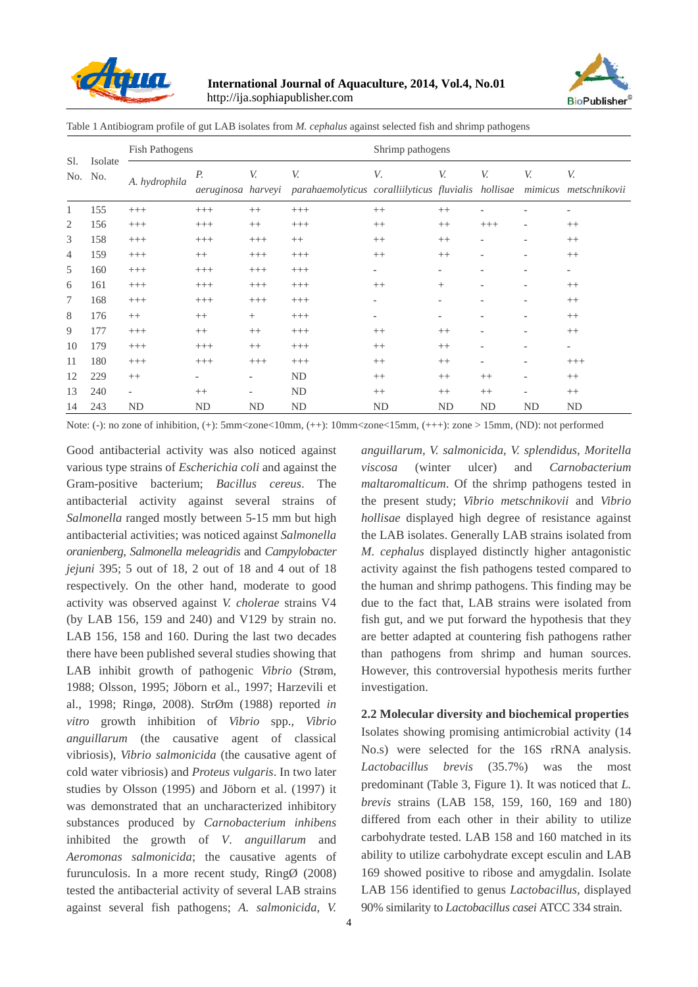



Table 1 Antibiogram profile of gut LAB isolates from *M. cephalus* against selected fish and shrimp pathogens

|                |                | Fish Pathogens           |                          |                          |                                                           | Shrimp pathogens         |         |           |                          |                             |  |  |  |  |
|----------------|----------------|--------------------------|--------------------------|--------------------------|-----------------------------------------------------------|--------------------------|---------|-----------|--------------------------|-----------------------------|--|--|--|--|
| Sl.<br>No.     | Isolate<br>No. | A. hydrophila            | Р.<br>aeruginosa harveyi | V.                       | V.<br>parahaemolyticus coralliilyticus fluvialis hollisae | V.                       | V.      | V.        | V.                       | V.<br>mimicus metschnikovii |  |  |  |  |
| 1              | 155            | $^{+++}$                 | $+++$                    | $++$                     | $+++$                                                     | $++$                     | $++$    |           |                          | $\qquad \qquad -$           |  |  |  |  |
| $\overline{2}$ | 156            | $^{+++}$                 | $+++$                    | $++$                     | $^{+++}$                                                  | $++$                     | $^{++}$ | $^{+++}$  | $\overline{\phantom{a}}$ | $++$                        |  |  |  |  |
| 3              | 158            | $^{+++}$                 | $+++$                    | $+++$                    | $++$                                                      | $^{++}$                  | $++$    |           |                          | $++$                        |  |  |  |  |
| 4              | 159            | $^{+++}$                 | $^{++}$                  | $+++$                    | $^{+++}$                                                  | $^{++}$                  | $^{++}$ |           |                          | $++$                        |  |  |  |  |
| 5              | 160            | $^{+++}$                 | $+++$                    | $^{+++}$                 | $+++$                                                     | $\overline{\phantom{0}}$ |         |           |                          | $\qquad \qquad -$           |  |  |  |  |
| 6              | 161            | $^{+++}$                 | $^{+++}$                 | $+++$                    | $^{+++}$                                                  | $++$                     | $^{+}$  |           |                          | $^{++}$                     |  |  |  |  |
| 7              | 168            | $^{+++}$                 | $^{+++}$                 | $^{+++}$                 | $+++$                                                     |                          |         |           |                          | $++$                        |  |  |  |  |
| 8              | 176            | $^{++}$                  | $^{++}$                  | $\! + \!\!\!\!$          | $^{+++}$                                                  | $\overline{\phantom{a}}$ |         |           |                          | $++$                        |  |  |  |  |
| 9              | 177            | $^{+++}$                 | $++$                     | $^{++}$                  | $^{+++}$                                                  | $++$                     | $++$    |           |                          | $++$                        |  |  |  |  |
| 10             | 179            | $^{+++}$                 | $+++$                    | $++$                     | $^{+++}$                                                  | $^{++}$                  | $++$    | ۰         | $\overline{\phantom{a}}$ | $\overline{\phantom{a}}$    |  |  |  |  |
| 11             | 180            | $^{+++}$                 | $+++$                    | $+++$                    | $^{+++}$                                                  | $^{++}$                  | $++$    |           | $\overline{\phantom{0}}$ | $^{+++}$                    |  |  |  |  |
| 12             | 229            | $^{++}$                  | $\overline{a}$           | $\overline{\phantom{a}}$ | ND                                                        | $^{++}$                  | $++$    | $^{++}$   | $\overline{\phantom{a}}$ | $++$                        |  |  |  |  |
| 13             | 240            | $\overline{\phantom{a}}$ | $^{++}$                  | $\overline{\phantom{a}}$ | ND                                                        | $++$                     | $++$    | $++$      | $\overline{\phantom{a}}$ | $++$                        |  |  |  |  |
| 14             | 243            | ND                       | ND                       | ND                       | <b>ND</b>                                                 | ND                       | ND      | <b>ND</b> | ND                       | ND                          |  |  |  |  |

Note: (-): no zone of inhibition, (+): 5mm<zone<10mm, (++): 10mm<zone<15mm, (+++): zone > 15mm, (ND): not performed

Good antibacterial activity was also noticed against various type strains of *Escherichia coli* and against the Gram-positive bacterium; *Bacillus cereus*. The antibacterial activity against several strains of *Salmonella* ranged mostly between 5-15 mm but high antibacterial activities; was noticed against *Salmonella oranienberg*, *Salmonella meleagridis* and *Campylobacter jejuni* 395; 5 out of 18, 2 out of 18 and 4 out of 18 respectively. On the other hand, moderate to good activity was observed against *V. cholerae* strains V4 (by LAB 156, 159 and 240) and V129 by strain no. LAB 156, 158 and 160. During the last two decades there have been published several studies showing that LAB inhibit growth of pathogenic *Vibrio* (Strøm, 1988; Olsson, 1995; Jöborn et al., 1997; Harzevili et al., 1998; Ringø, 2008). StrØm (1988) reported *in vitro* growth inhibition of *Vibrio* spp., *Vibrio anguillarum* (the causative agent of classical vibriosis), *Vibrio salmonicida* (the causative agent of cold water vibriosis) and *Proteus vulgaris*. In two later studies by Olsson (1995) and Jöborn et al. (1997) it was demonstrated that an uncharacterized inhibitory substances produced by *Carnobacterium inhibens* inhibited the growth of *V*. *anguillarum* and *Aeromonas salmonicida*; the causative agents of furunculosis. In a more recent study, RingØ (2008) tested the antibacterial activity of several LAB strains against several fish pathogens; *A. salmonicida*, *V.* 

4

*anguillarum, V. salmonicida*, *V. splendidus*, *Moritella viscosa* (winter ulcer) and *Carnobacterium maltaromalticum*. Of the shrimp pathogens tested in the present study; *Vibrio metschnikovii* and *Vibrio hollisae* displayed high degree of resistance against the LAB isolates. Generally LAB strains isolated from *M. cephalus* displayed distinctly higher antagonistic activity against the fish pathogens tested compared to the human and shrimp pathogens. This finding may be due to the fact that, LAB strains were isolated from fish gut, and we put forward the hypothesis that they are better adapted at countering fish pathogens rather than pathogens from shrimp and human sources. However, this controversial hypothesis merits further investigation.

# **2.2 Molecular diversity and biochemical properties**

Isolates showing promising antimicrobial activity (14 No.s) were selected for the 16S rRNA analysis. *Lactobacillus brevis* (35.7%) was the most predominant (Table 3, Figure 1). It was noticed that *L. brevis* strains (LAB 158, 159, 160, 169 and 180) differed from each other in their ability to utilize carbohydrate tested. LAB 158 and 160 matched in its ability to utilize carbohydrate except esculin and LAB 169 showed positive to ribose and amygdalin. Isolate LAB 156 identified to genus *Lactobacillus*, displayed 90% similarity to *Lactobacillus casei* ATCC 334 strain.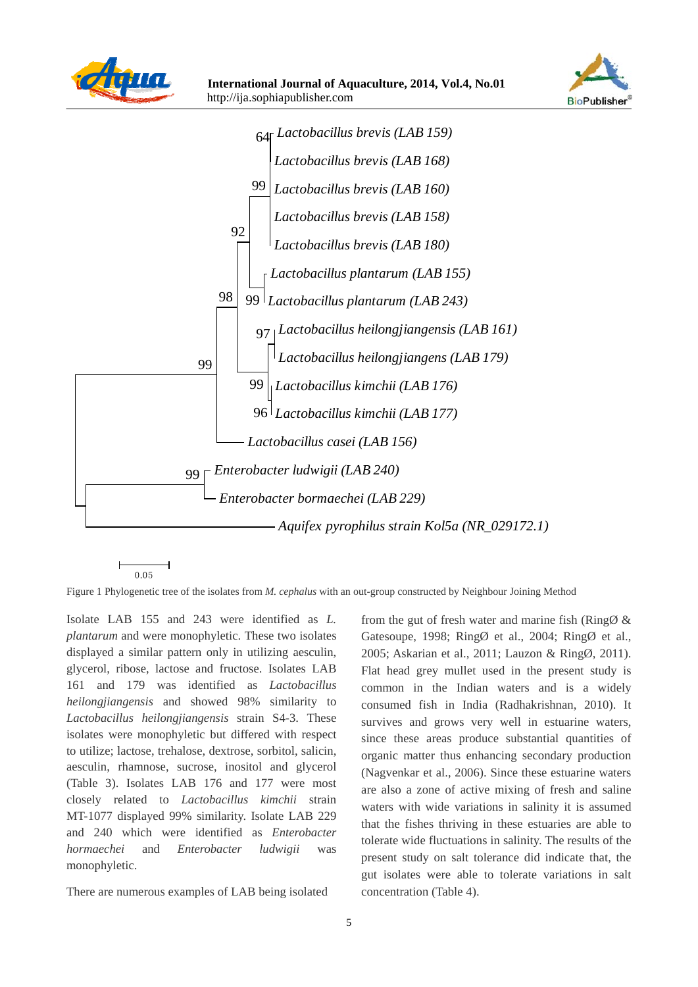







Figure 1 Phylogenetic tree of the isolates from *M. cephalus* with an out-group constructed by Neighbour Joining Method

Isolate LAB 155 and 243 were identified as *L. plantarum* and were monophyletic. These two isolates displayed a similar pattern only in utilizing aesculin, glycerol, ribose, lactose and fructose. Isolates LAB 161 and 179 was identified as *Lactobacillus heilongjiangensis* and showed 98% similarity to *Lactobacillus heilongjiangensis* strain S4-3. These isolates were monophyletic but differed with respect to utilize; lactose, trehalose, dextrose, sorbitol, salicin, aesculin, rhamnose, sucrose, inositol and glycerol (Table 3). Isolates LAB 176 and 177 were most closely related to *Lactobacillus kimchii* strain MT-1077 displayed 99% similarity. Isolate LAB 229 and 240 which were identified as *Enterobacter hormaechei* and *Enterobacter ludwigii* was monophyletic.

There are numerous examples of LAB being isolated

from the gut of fresh water and marine fish ( $\text{Ring} \&$ Gatesoupe, 1998; RingØ et al., 2004; RingØ et al., 2005; Askarian et al., 2011; Lauzon & RingØ, 2011). Flat head grey mullet used in the present study is common in the Indian waters and is a widely consumed fish in India (Radhakrishnan, 2010). It survives and grows very well in estuarine waters, since these areas produce substantial quantities of organic matter thus enhancing secondary production (Nagvenkar et al., 2006). Since these estuarine waters are also a zone of active mixing of fresh and saline waters with wide variations in salinity it is assumed that the fishes thriving in these estuaries are able to tolerate wide fluctuations in salinity. The results of the present study on salt tolerance did indicate that, the gut isolates were able to tolerate variations in salt concentration (Table 4).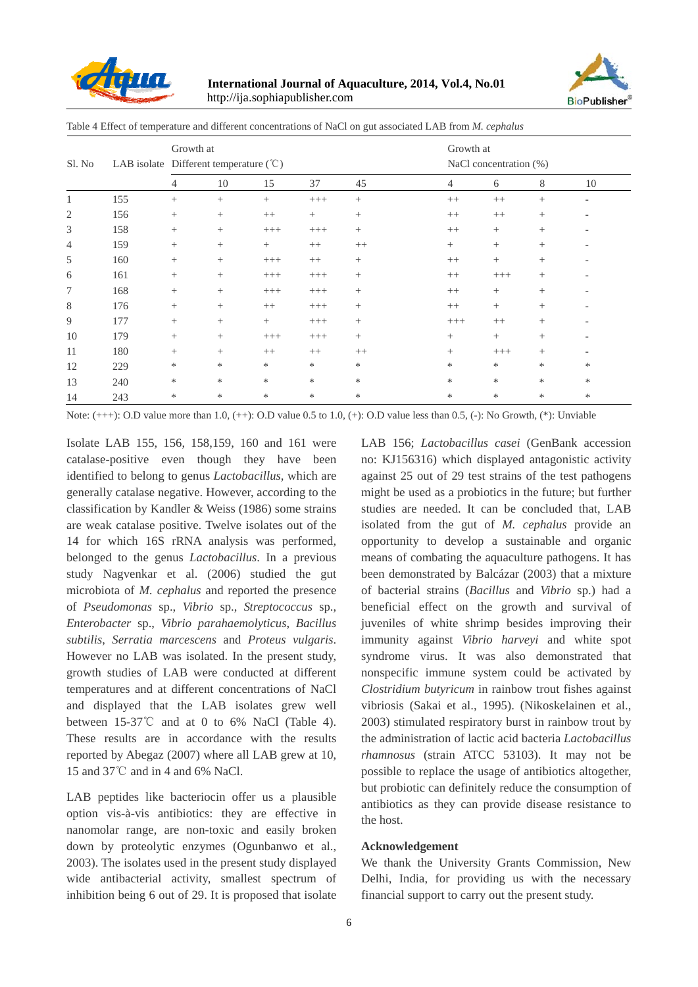

**International Journal of Aquaculture, 2014, Vol.4, No.01**  http://ija.sophiapublisher.com



Growth at Sl. No LAB isolate Different temperature (°C) NaCl concentration (%) Growth at 4 10 15 37 45 4 6 8 10 1 155 + + + +++ + ++ ++ + - 2 156 + + ++ + + ++ ++ + - 3 158 + + +++ +++ + ++ + + - 4 159 + + + ++ ++ + + + -  $5$  160 + +  $+$   $+$  + +  $+$  +  $+$  +  $+$  + +  $-$ 

6 161 + + +++ +++ + ++ +++ + - 7 168 + + +++ +++ + ++ + + - 8 176 + + ++ +++ + + ++ + + + + 9 177 + + + +++ + +++ ++ + - 10 179 + + +++ +++ + + + + + + + + 11 180 + + ++ ++ ++ + +++ + - 12 229 \* \* \* \* \* \* \* \* \* 13 240 \* \* \* \* \* \* \* \* \*

Table 4 Effect of temperature and different concentrations of NaCl on gut associated LAB from *M. cephalus* 

14 243 \* \* \* \* \* \* \* \* \* Note:  $(++)$ : O.D value more than 1.0,  $(++)$ : O.D value 0.5 to 1.0,  $(+)$ : O.D value less than 0.5,  $(-)$ : No Growth,  $(*)$ : Unviable

Isolate LAB 155, 156, 158,159, 160 and 161 were catalase-positive even though they have been identified to belong to genus *Lactobacillus,* which are generally catalase negative. However, according to the classification by Kandler & Weiss (1986) some strains are weak catalase positive. Twelve isolates out of the 14 for which 16S rRNA analysis was performed, belonged to the genus *Lactobacillus*. In a previous study Nagvenkar et al. (2006) studied the gut microbiota of *M. cephalus* and reported the presence of *Pseudomonas* sp., *Vibrio* sp., *Streptococcus* sp., *Enterobacter* sp., *Vibrio parahaemolyticus*, *Bacillus subtilis*, *Serratia marcescens* and *Proteus vulgaris*. However no LAB was isolated. In the present study, growth studies of LAB were conducted at different temperatures and at different concentrations of NaCl and displayed that the LAB isolates grew well between 15-37℃ and at 0 to 6% NaCl (Table 4). These results are in accordance with the results reported by Abegaz (2007) where all LAB grew at 10, 15 and 37℃ and in 4 and 6% NaCl.

LAB peptides like bacteriocin offer us a plausible option vis-à-vis antibiotics: they are effective in nanomolar range, are non-toxic and easily broken down by proteolytic enzymes (Ogunbanwo et al., 2003). The isolates used in the present study displayed wide antibacterial activity, smallest spectrum of inhibition being 6 out of 29. It is proposed that isolate

LAB 156; *Lactobacillus casei* (GenBank accession no: KJ156316) which displayed antagonistic activity against 25 out of 29 test strains of the test pathogens might be used as a probiotics in the future; but further studies are needed. It can be concluded that, LAB isolated from the gut of *M. cephalus* provide an opportunity to develop a sustainable and organic means of combating the aquaculture pathogens. It has been demonstrated by Balcázar (2003) that a mixture of bacterial strains (*Bacillus* and *Vibrio* sp.) had a beneficial effect on the growth and survival of juveniles of white shrimp besides improving their immunity against *Vibrio harveyi* and white spot syndrome virus. It was also demonstrated that nonspecific immune system could be activated by *Clostridium butyricum* in rainbow trout fishes against vibriosis (Sakai et al., 1995). (Nikoskelainen et al., 2003) stimulated respiratory burst in rainbow trout by the administration of lactic acid bacteria *Lactobacillus rhamnosus* (strain ATCC 53103). It may not be possible to replace the usage of antibiotics altogether, but probiotic can definitely reduce the consumption of antibiotics as they can provide disease resistance to the host.

#### **Acknowledgement**

We thank the University Grants Commission, New Delhi, India, for providing us with the necessary financial support to carry out the present study.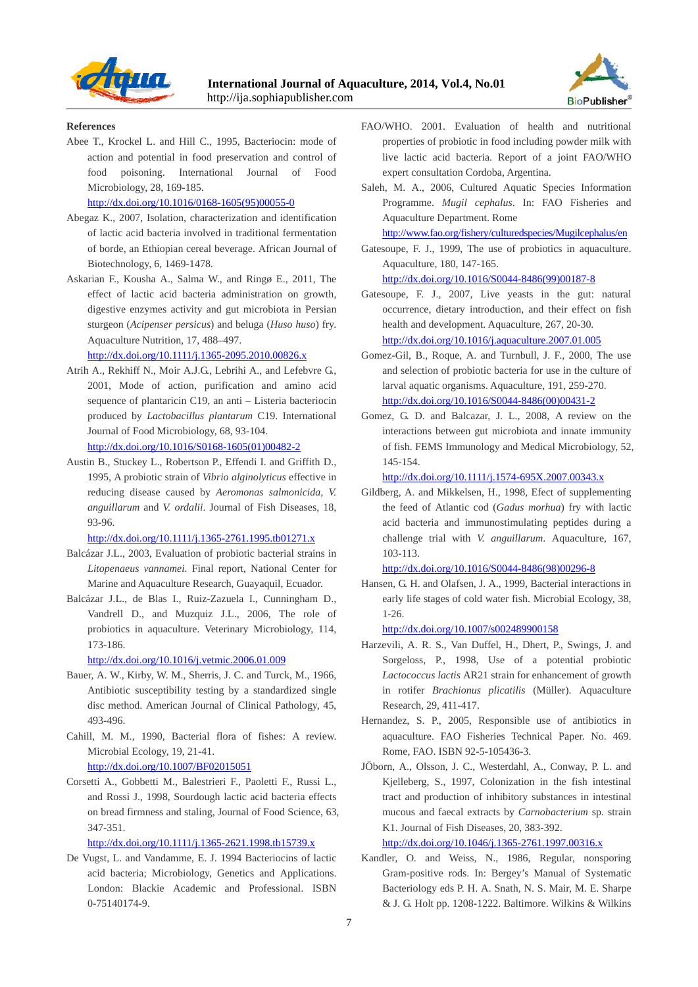



#### **References**

Abee T., Krockel L. and Hill C., 1995, Bacteriocin: mode of action and potential in food preservation and control of food poisoning. International Journal of Food Microbiology, 28, 169-185.

http://dx.doi.org/10.1016/0168-1605(95)00055-0

- Abegaz K., 2007, Isolation, characterization and identification of lactic acid bacteria involved in traditional fermentation of borde, an Ethiopian cereal beverage. African Journal of Biotechnology, 6, 1469-1478.
- Askarian F., Kousha A., Salma W., and Ringø E., 2011, The effect of lactic acid bacteria administration on growth, digestive enzymes activity and gut microbiota in Persian sturgeon (*Acipenser persicus*) and beluga (*Huso huso*) fry. Aquaculture Nutrition, 17, 488–497.

http://dx.doi.org/10.1111/j.1365-2095.2010.00826.x

- Atrih A., Rekhiff N., Moir A.J.G., Lebrihi A., and Lefebvre G., 2001, Mode of action, purification and amino acid sequence of plantaricin C19, an anti – Listeria bacteriocin produced by *Lactobacillus plantarum* C19. International Journal of Food Microbiology, 68, 93-104. http://dx.doi.org/10.1016/S0168-1605(01)00482-2
- Austin B., Stuckey L., Robertson P., Effendi I. and Griffith D., 1995, A probiotic strain of *Vibrio alginolyticus* effective in reducing disease caused by *Aeromonas salmonicida, V. anguillarum* and *V. ordalii*. Journal of Fish Diseases, 18, 93-96.

http://dx.doi.org/10.1111/j.1365-2761.1995.tb01271.x

- Balcázar J.L., 2003, Evaluation of probiotic bacterial strains in *Litopenaeus vannamei.* Final report, National Center for Marine and Aquaculture Research, Guayaquil, Ecuador.
- Balcázar J.L., de Blas I., Ruiz-Zazuela I., Cunningham D., Vandrell D., and Muzquiz J.L., 2006, The role of probiotics in aquaculture. Veterinary Microbiology, 114, 173-186.

http://dx.doi.org/10.1016/j.vetmic.2006.01.009

- Bauer, A. W., Kirby, W. M., Sherris, J. C. and Turck, M., 1966, Antibiotic susceptibility testing by a standardized single disc method. American Journal of Clinical Pathology, 45, 493-496.
- Cahill, M. M., 1990, Bacterial flora of fishes: A review. Microbial Ecology, 19, 21-41. http://dx.doi.org/10.1007/BF02015051
- Corsetti A., Gobbetti M., Balestrieri F., Paoletti F., Russi L., and Rossi J., 1998, Sourdough lactic acid bacteria effects on bread firmness and staling, Journal of Food Science, 63, 347-351.

http://dx.doi.org/10.1111/j.1365-2621.1998.tb15739.x

De Vugst, L. and Vandamme, E. J. 1994 Bacteriocins of lactic acid bacteria; Microbiology, Genetics and Applications. London: Blackie Academic and Professional. ISBN 0-75140174-9.

- FAO/WHO. 2001. Evaluation of health and nutritional properties of probiotic in food including powder milk with live lactic acid bacteria. Report of a joint FAO/WHO expert consultation Cordoba, Argentina.
- Saleh, M. A., 2006, Cultured Aquatic Species Information Programme. *Mugil cephalus*. In: FAO Fisheries and Aquaculture Department. Rome

http://www.fao.org/fishery/culturedspecies/Mugilcephalus/en

Gatesoupe, F. J., 1999, The use of probiotics in aquaculture. Aquaculture, 180, 147-165.

http://dx.doi.org/10.1016/S0044-8486(99)00187-8

Gatesoupe, F. J., 2007, Live yeasts in the gut: natural occurrence, dietary introduction, and their effect on fish health and development. Aquaculture, 267, 20-30. http://dx.doi.org/10.1016/j.aquaculture.2007.01.005

- Gomez-Gil, B., Roque, A. and Turnbull, J. F., 2000, The use and selection of probiotic bacteria for use in the culture of larval aquatic organisms. Aquaculture, 191, 259-270. http://dx.doi.org/10.1016/S0044-8486(00)00431-2
- Gomez, G. D. and Balcazar, J. L., 2008, A review on the interactions between gut microbiota and innate immunity of fish. FEMS Immunology and Medical Microbiology, 52, 145-154.

http://dx.doi.org/10.1111/j.1574-695X.2007.00343.x

Gildberg, A. and Mikkelsen, H., 1998, Efect of supplementing the feed of Atlantic cod (*Gadus morhua*) fry with lactic acid bacteria and immunostimulating peptides during a challenge trial with *V. anguillarum*. Aquaculture, 167, 103-113.

http://dx.doi.org/10.1016/S0044-8486(98)00296-8

Hansen, G. H. and Olafsen, J. A., 1999, Bacterial interactions in early life stages of cold water fish. Microbial Ecology, 38, 1-26.

http://dx.doi.org/10.1007/s002489900158

- Harzevili, A. R. S., Van Duffel, H., Dhert, P., Swings, J. and Sorgeloss, P., 1998, Use of a potential probiotic *Lactococcus lactis* AR21 strain for enhancement of growth in rotifer *Brachionus plicatilis* (Müller). Aquaculture Research, 29, 411-417.
- Hernandez, S. P., 2005, Responsible use of antibiotics in aquaculture. FAO Fisheries Technical Paper. No. 469. Rome, FAO. ISBN 92-5-105436-3.
- JÖborn, A., Olsson, J. C., Westerdahl, A., Conway, P. L. and Kjelleberg, S., 1997, Colonization in the fish intestinal tract and production of inhibitory substances in intestinal mucous and faecal extracts by *Carnobacterium* sp. strain K1. Journal of Fish Diseases, 20, 383-392.

http://dx.doi.org/10.1046/j.1365-2761.1997.00316.x

Kandler, O. and Weiss, N., 1986, Regular, nonsporing Gram-positive rods. In: Bergey's Manual of Systematic Bacteriology eds P. H. A. Snath, N. S. Mair, M. E. Sharpe & J. G. Holt pp. 1208-1222. Baltimore. Wilkins & Wilkins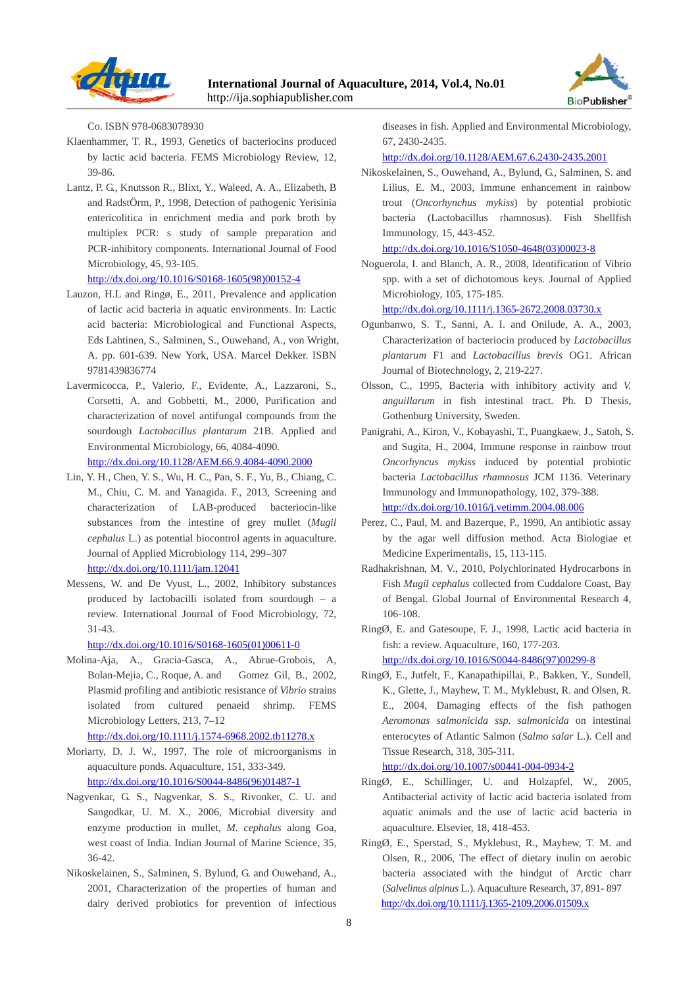



Co. ISBN 978-0683078930

- Klaenhammer, T. R., 1993, Genetics of bacteriocins produced by lactic acid bacteria. FEMS Microbiology Review, 12, 39-86.
- Lantz, P. G., Knutsson R., Blixt, Y., Waleed, A. A., Elizabeth, B and RadstÖrm, P., 1998, Detection of pathogenic Yerisinia entericolitica in enrichment media and pork broth by multiplex PCR: s study of sample preparation and PCR-inhibitory components. International Journal of Food Microbiology, 45, 93-105. http://dx.doi.org/10.1016/S0168-1605(98)00152-4
- Lauzon, H.L and Ringø, E., 2011, Prevalence and application of lactic acid bacteria in aquatic environments. In: Lactic acid bacteria: Microbiological and Functional Aspects, Eds Lahtinen, S., Salminen, S., Ouwehand, A., von Wright, A. pp. 601-639. New York, USA. Marcel Dekker. ISBN 9781439836774
- Lavermicocca, P., Valerio, F., Evidente, A., Lazzaroni, S., Corsetti, A. and Gobbetti, M., 2000, Purification and characterization of novel antifungal compounds from the sourdough *Lactobacillus plantarum* 21B. Applied and Environmental Microbiology, 66, 4084-4090. http://dx.doi.org/10.1128/AEM.66.9.4084-4090.2000
- Lin, Y. H., Chen, Y. S., Wu, H. C., Pan, S. F., Yu, B., Chiang, C. M., Chiu, C. M. and Yanagida. F., 2013, Screening and characterization of LAB-produced bacteriocin-like substances from the intestine of grey mullet (*Mugil cephalus* L.) as potential biocontrol agents in aquaculture. Journal of Applied Microbiology 114, 299–307 http://dx.doi.org/10.1111/jam.12041
- Messens, W. and De Vyust, L., 2002, Inhibitory substances produced by lactobacilli isolated from sourdough – a review. International Journal of Food Microbiology, 72, 31-43.

http://dx.doi.org/10.1016/S0168-1605(01)00611-0

Molina-Aja, A., Gracia-Gasca, A., Abrue-Grobois, A, Bolan-Mejia, C., Roque, A. and Gomez Gil, B., 2002, Plasmid profiling and antibiotic resistance of *Vibrio* strains isolated from cultured penaeid shrimp. FEMS Microbiology Letters, 213, 7–12

http://dx.doi.org/10.1111/j.1574-6968.2002.tb11278.x

- Moriarty, D. J. W., 1997, The role of microorganisms in aquaculture ponds. Aquaculture, 151, 333-349. http://dx.doi.org/10.1016/S0044-8486(96)01487-1
- Nagvenkar, G. S., Nagvenkar, S. S., Rivonker, C. U. and Sangodkar, U. M. X., 2006, Microbial diversity and enzyme production in mullet, *M. cephalus* along Goa, west coast of India. Indian Journal of Marine Science, 35, 36-42.
- Nikoskelainen, S., Salminen, S. Bylund, G. and Ouwehand, A., 2001, Characterization of the properties of human and dairy derived probiotics for prevention of infectious

diseases in fish. Applied and Environmental Microbiology, 67, 2430-2435.

http://dx.doi.org/10.1128/AEM.67.6.2430-2435.2001

Nikoskelainen, S., Ouwehand, A., Bylund, G., Salminen, S. and Lilius, E. M., 2003, Immune enhancement in rainbow trout (*Oncorhynchus mykiss*) by potential probiotic bacteria (Lactobacillus rhamnosus). Fish Shellfish Immunology, 15, 443-452.

http://dx.doi.org/10.1016/S1050-4648(03)00023-8

Noguerola, I. and Blanch, A. R., 2008, Identification of Vibrio spp. with a set of dichotomous keys. Journal of Applied Microbiology, 105, 175-185.

http://dx.doi.org/10.1111/j.1365-2672.2008.03730.x

- Ogunbanwo, S. T., Sanni, A. I. and Onilude, A. A., 2003, Characterization of bacteriocin produced by *Lactobacillus plantarum* F1 and *Lactobacillus brevis* OG1. African Journal of Biotechnology, 2, 219-227.
- Olsson, C., 1995, Bacteria with inhibitory activity and *V. anguillarum* in fish intestinal tract. Ph. D Thesis, Gothenburg University, Sweden.
- Panigrahi, A., Kiron, V., Kobayashi, T., Puangkaew, J., Satoh, S. and Sugita, H., 2004, Immune response in rainbow trout *Oncorhyncus mykiss* induced by potential probiotic bacteria *Lactobacillus rhamnosus* JCM 1136. Veterinary Immunology and Immunopathology, 102, 379-388. http://dx.doi.org/10.1016/j.vetimm.2004.08.006
- Perez, C., Paul, M. and Bazerque, P., 1990, An antibiotic assay by the agar well diffusion method. Acta Biologiae et Medicine Experimentalis, 15, 113-115.
- Radhakrishnan, M. V., 2010, Polychlorinated Hydrocarbons in Fish *Mugil cephalus* collected from Cuddalore Coast, Bay of Bengal. Global Journal of Environmental Research 4, 106-108.

RingØ, E. and Gatesoupe, F. J., 1998, Lactic acid bacteria in fish: a review. Aquaculture, 160, 177-203. http://dx.doi.org/10.1016/S0044-8486(97)00299-8

RingØ, E., Jutfelt, F., Kanapathipillai, P., Bakken, Y., Sundell, K., Glette, J., Mayhew, T. M., Myklebust, R. and Olsen, R. E., 2004, Damaging effects of the fish pathogen *Aeromonas salmonicida ssp. salmonicida* on intestinal enterocytes of Atlantic Salmon (*Salmo salar* L.). Cell and Tissue Research, 318, 305-311.

http://dx.doi.org/10.1007/s00441-004-0934-2

- RingØ, E., Schillinger, U. and Holzapfel, W., 2005, Antibacterial activity of lactic acid bacteria isolated from aquatic animals and the use of lactic acid bacteria in aquaculture. Elsevier, 18, 418-453.
- RingØ, E., Sperstad, S., Myklebust, R., Mayhew, T. M. and Olsen, R., 2006, The effect of dietary inulin on aerobic bacteria associated with the hindgut of Arctic charr (*Salvelinus alpinus* L.). Aquaculture Research, 37, 891- 897 http://dx.doi.org/10.1111/j.1365-2109.2006.01509.x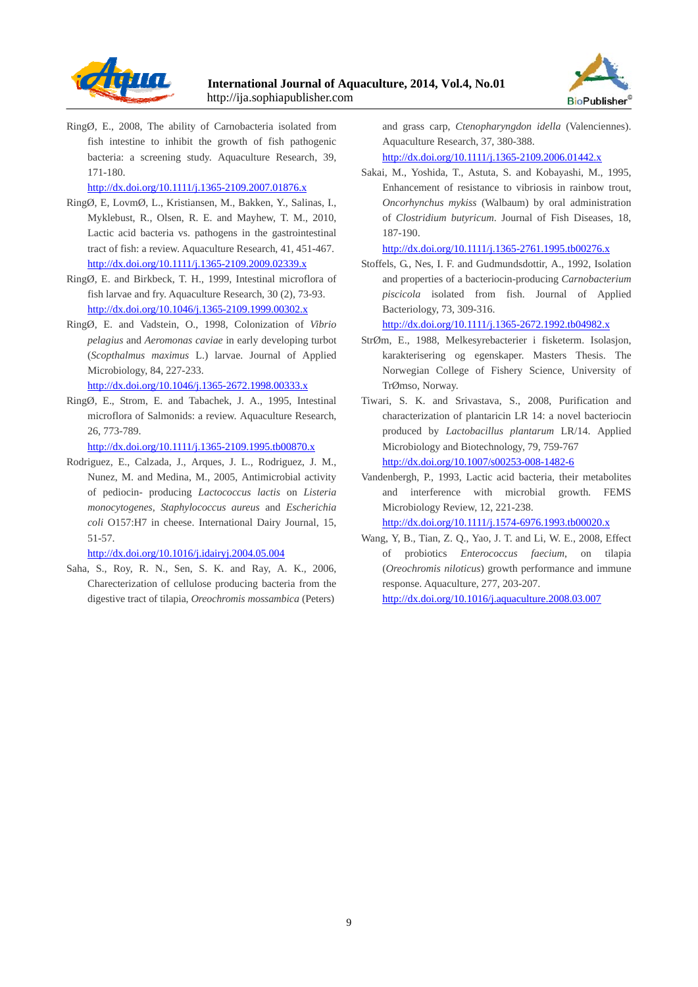



RingØ, E., 2008, The ability of Carnobacteria isolated from fish intestine to inhibit the growth of fish pathogenic bacteria: a screening study. Aquaculture Research, 39, 171-180.

http://dx.doi.org/10.1111/j.1365-2109.2007.01876.x

- RingØ, E, LovmØ, L., Kristiansen, M., Bakken, Y., Salinas, I., Myklebust, R., Olsen, R. E. and Mayhew, T. M., 2010, Lactic acid bacteria vs. pathogens in the gastrointestinal tract of fish: a review. Aquaculture Research, 41, 451-467. http://dx.doi.org/10.1111/j.1365-2109.2009.02339.x
- RingØ, E. and Birkbeck, T. H., 1999, Intestinal microflora of fish larvae and fry. Aquaculture Research, 30 (2), 73-93. http://dx.doi.org/10.1046/j.1365-2109.1999.00302.x
- RingØ, E. and Vadstein, O., 1998, Colonization of *Vibrio pelagius* and *Aeromonas caviae* in early developing turbot (*Scopthalmus maximus* L.) larvae. Journal of Applied Microbiology, 84, 227-233.

http://dx.doi.org/10.1046/j.1365-2672.1998.00333.x

RingØ, E., Strom, E. and Tabachek, J. A., 1995, Intestinal microflora of Salmonids: a review. Aquaculture Research, 26, 773-789.

http://dx.doi.org/10.1111/j.1365-2109.1995.tb00870.x

Rodriguez, E., Calzada, J., Arques, J. L., Rodriguez, J. M., Nunez, M. and Medina, M., 2005, Antimicrobial activity of pediocin- producing *Lactococcus lactis* on *Listeria monocytogenes, Staphylococcus aureus* and *Escherichia coli* O157:H7 in cheese. International Dairy Journal, 15, 51-57.

http://dx.doi.org/10.1016/j.idairyj.2004.05.004

Saha, S., Roy, R. N., Sen, S. K. and Ray, A. K., 2006, Charecterization of cellulose producing bacteria from the digestive tract of tilapia, *Oreochromis mossambica* (Peters)

and grass carp, *Ctenopharyngdon idella* (Valenciennes). Aquaculture Research, 37, 380-388.

http://dx.doi.org/10.1111/j.1365-2109.2006.01442.x

Sakai, M., Yoshida, T., Astuta, S. and Kobayashi, M., 1995, Enhancement of resistance to vibriosis in rainbow trout, *Oncorhynchus mykiss* (Walbaum) by oral administration of *Clostridium butyricum*. Journal of Fish Diseases, 18, 187-190.

http://dx.doi.org/10.1111/j.1365-2761.1995.tb00276.x

Stoffels, G., Nes, I. F. and Gudmundsdottir, A., 1992, Isolation and properties of a bacteriocin-producing *Carnobacterium piscicola* isolated from fish. Journal of Applied Bacteriology, 73, 309-316.

http://dx.doi.org/10.1111/j.1365-2672.1992.tb04982.x

- StrØm, E., 1988, Melkesyrebacterier i fisketerm. Isolasjon, karakterisering og egenskaper. Masters Thesis. The Norwegian College of Fishery Science, University of TrØmso, Norway.
- Tiwari, S. K. and Srivastava, S., 2008, Purification and characterization of plantaricin LR 14: a novel bacteriocin produced by *Lactobacillus plantarum* LR/14. Applied Microbiology and Biotechnology, 79, 759-767 http://dx.doi.org/10.1007/s00253-008-1482-6
- Vandenbergh, P., 1993, Lactic acid bacteria, their metabolites and interference with microbial growth. FEMS Microbiology Review, 12, 221-238.

http://dx.doi.org/10.1111/j.1574-6976.1993.tb00020.x

Wang, Y, B., Tian, Z. Q., Yao, J. T. and Li, W. E., 2008, Effect of probiotics *Enterococcus faecium*, on tilapia (*Oreochromis niloticus*) growth performance and immune response. Aquaculture, 277, 203-207. http://dx.doi.org/10.1016/j.aquaculture.2008.03.007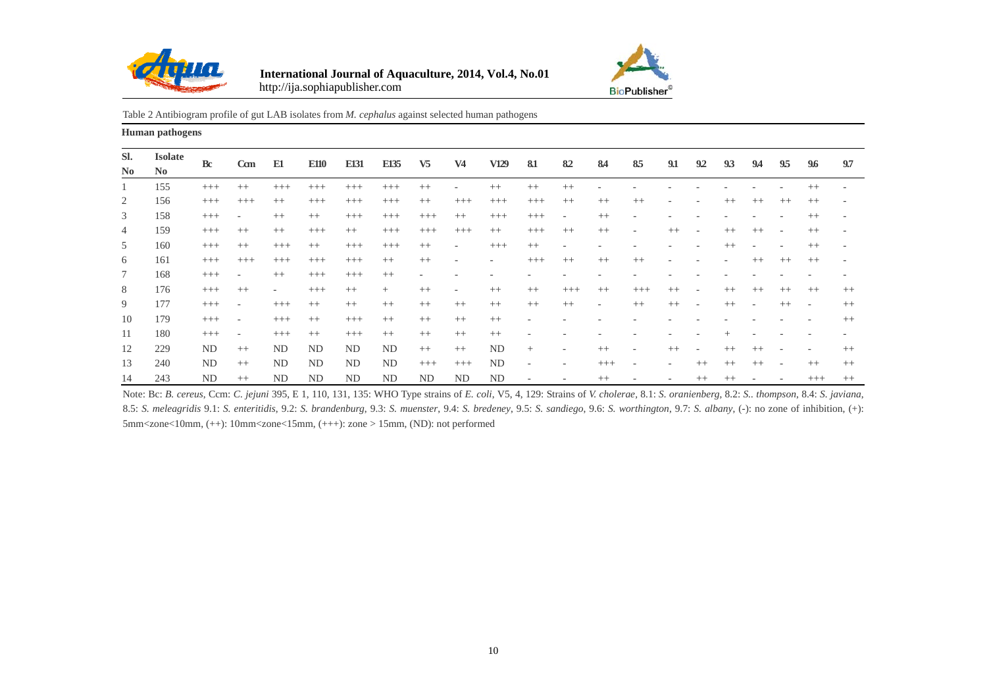



#### Table 2 Antibiogram profile of gut LAB isolates from *M. cephalus* against selected human pathogens

**Human pathogens** 

| SI.<br>N <sub>0</sub> | <b>Isolate</b><br>N <sub>0</sub> | <b>Bc</b> | C <sub>cm</sub>          | E1                       | <b>E110</b> | E131     | E135      | V <sub>5</sub>           | V <sub>4</sub>           | V129                         | 81       | 82                       | 84                       | 85                       | 9.1     | 92                       | 93      | 94   | 95                       | 9.6                          | 9.7     |
|-----------------------|----------------------------------|-----------|--------------------------|--------------------------|-------------|----------|-----------|--------------------------|--------------------------|------------------------------|----------|--------------------------|--------------------------|--------------------------|---------|--------------------------|---------|------|--------------------------|------------------------------|---------|
|                       | 155                              | $^{+++}$  | $++$                     | $^{+++}$                 | $^{+++}$    | $^{+++}$ | $^{+++}$  | $++$                     | ٠                        | $^{++}$                      | $++$     | $^{++}$                  |                          |                          |         |                          |         |      |                          | $^{++}$                      |         |
| 2                     | 156                              | $^{+++}$  | $^{+++}$                 | $++$                     | $^{+++}$    | $^{+++}$ | $^{+++}$  | $++$                     | $^{+++}$                 | $^{+++}$                     | $^{+++}$ | $++$                     | $++$                     | $++$                     |         |                          | $++$    | $++$ | $^{++}$                  | $^{++}$                      |         |
| 3                     | 158                              | $^{+++}$  | $\overline{\phantom{a}}$ | $++$                     | $++$        | $^{+++}$ | $^{+++}$  | $^{+++}$                 | $^{++}$                  | $^{+++}$                     | $^{+++}$ | $\overline{\phantom{a}}$ | $^{++}$                  | $\overline{\phantom{0}}$ |         |                          |         |      |                          | $^{++}$                      |         |
| 4                     | 159                              | $^{+++}$  | $++$                     | $++$                     | $^{+++}$    | $++$     | $^{+++}$  | $^{+++}$                 | $^{+++}$                 | $++$                         | $^{+++}$ | $++$                     | $++$                     | $\overline{\phantom{a}}$ | $++$    | $\overline{\phantom{a}}$ | $++$    | $++$ | $\overline{\phantom{a}}$ | $++$                         |         |
| 5                     | 160                              | $^{+++}$  | $++$                     | $^{+++}$                 | $++$        | $^{+++}$ | $^{+++}$  | $++$                     | ٠                        | $^{+++}$                     | $^{++}$  |                          |                          |                          |         |                          | $^{++}$ |      |                          | $^{++}$                      |         |
| 6                     | 161                              | $+++$     | $^{+++}$                 | $^{+++}$                 | $^{+++}$    | $^{+++}$ | $++$      | $++$                     | ۰                        | $\qquad \qquad \blacksquare$ | $^{+++}$ | $++$                     | $++$                     | $++$                     |         |                          |         | $++$ | $++$                     | $++$                         |         |
| 7                     | 168                              | $^{+++}$  | $\overline{\phantom{a}}$ | $++$                     | $^{+++}$    | $^{+++}$ | $++$      | $\overline{\phantom{a}}$ |                          |                              |          |                          |                          |                          |         |                          |         |      |                          |                              |         |
| 8                     | 176                              | $^{+++}$  | $++$                     | $\overline{\phantom{a}}$ | $^{+++}$    | $^{++}$  | $^{+}$    | $^{++}$                  | $\overline{\phantom{a}}$ | $^{++}$                      | $^{++}$  | $^{+++}$                 | $^{++}$                  | $^{+++}$                 | $++$    | $\qquad \qquad$          | $++$    | $++$ | $++$                     | $++$                         | $++$    |
| 9                     | 177                              | $^{+++}$  | $\overline{\phantom{a}}$ | $^{+++}$                 | $++$        | $^{++}$  | $++$      | $^{++}$                  | $^{++}$                  | $^{++}$                      | $^{++}$  | $++$                     | $\overline{\phantom{a}}$ | $^{++}$                  | $++$    | $\overline{\phantom{a}}$ | $++$    |      | $++$                     | $\overline{\phantom{a}}$     | $++$    |
| 10                    | 179                              | $+++$     | $\overline{\phantom{a}}$ | $^{+++}$                 | $++$        | $^{+++}$ | $++$      | $++$                     | $++$                     | $++$                         | ٠        |                          |                          |                          |         |                          |         |      |                          | -                            | $++$    |
| 11                    | 180                              | $^{+++}$  | $\overline{\phantom{a}}$ | $^{+++}$                 | $++$        | $^{+++}$ | $++$      | $++$                     | $++$                     | $++$                         |          |                          |                          |                          |         |                          |         |      |                          | $\qquad \qquad \blacksquare$ |         |
| 12                    | 229                              | ND        | $++$                     | ND                       | ND          | ND       | <b>ND</b> | $++$                     | $++$                     | <b>ND</b>                    | $^{+}$   |                          | $++$                     |                          | $^{++}$ | ٠                        | $++$    | $++$ |                          |                              | $^{++}$ |
| 13                    | 240                              | ND        | $++$                     | ND                       | ND          | ND       | ND        | $^{+++}$                 | $^{+++}$                 | ND                           | ٠        |                          | $^{+++}$                 |                          | -       | $++$                     | $++$    | $++$ |                          | $++$                         | $++$    |
| 14                    | 243                              | ND        | $++$                     | ND                       | ND          | ND       | ND        | ND                       | <b>ND</b>                | <b>ND</b>                    |          |                          | $++$                     |                          |         | $^{++}$                  | $^{++}$ |      |                          | $^{+++}$                     | $++$    |

Note: Bc: B. cereus, Ccm: C. jejuni 395, E 1, 110, 131, 135: WHO Type strains of E. coli, V5, 4, 129: Strains of V. cholerae, 8.1: S. oranienberg, 8.2: S.. thompson, 8.4: S. javiana, 8.5: S. meleagridis 9.1: S. enteritidis, 9.2: S. brandenburg, 9.3: S. muenster, 9.4: S. bredeney, 9.5: S. sandiego, 9.6: S. worthington, 9.7: S. albany, (-): no zone of inhibition, (+): 5mm<zone<10mm, (++): 10mm<zone<15mm, (+++): zone > 15mm, (ND): not performed